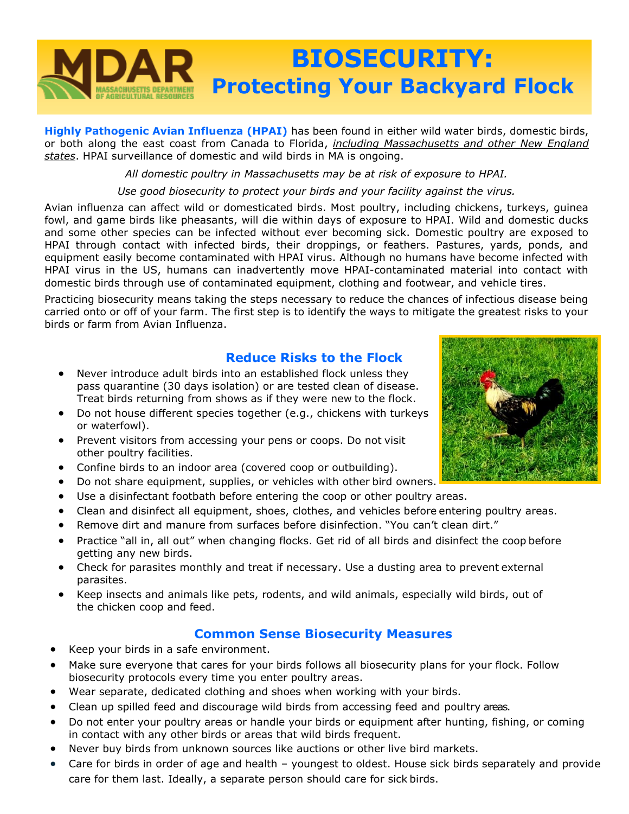

**Highly Pathogenic Avian Influenza (HPAI)** has been found in either wild water birds, domestic birds, or both along the east coast from Canada to Florida, *including Massachusetts and other New England states*. HPAI surveillance of domestic and wild birds in MA is ongoing.

*All domestic poultry in Massachusetts may be at risk of exposure to HPAI.*

*Use good biosecurity to protect your birds and your facility against the virus.*

Avian influenza can affect wild or domesticated birds. Most poultry, including chickens, turkeys, guinea fowl, and game birds like pheasants, will die within days of exposure to HPAI. Wild and domestic ducks and some other species can be infected without ever becoming sick. Domestic poultry are exposed to HPAI through contact with infected birds, their droppings, or feathers. Pastures, yards, ponds, and equipment easily become contaminated with HPAI virus. Although no humans have become infected with HPAI virus in the US, humans can inadvertently move HPAI-contaminated material into contact with domestic birds through use of contaminated equipment, clothing and footwear, and vehicle tires.

Practicing biosecurity means taking the steps necessary to reduce the chances of infectious disease being carried onto or off of your farm. The first step is to identify the ways to mitigate the greatest risks to your birds or farm from Avian Influenza.

# **Reduce Risks to the Flock**

- Never introduce adult birds into an established flock unless they pass quarantine (30 days isolation) or are tested clean of disease. Treat birds returning from shows as if they were new to the flock.
- Do not house different species together (e.g., chickens with turkeys or waterfowl).
- Prevent visitors from accessing your pens or coops. Do not visit other poultry facilities.
- Confine birds to an indoor area (covered coop or outbuilding).
- Do not share equipment, supplies, or vehicles with other bird owners.
- Use a disinfectant footbath before entering the coop or other poultry areas.
- Clean and disinfect all equipment, shoes, clothes, and vehicles before entering poultry areas.
- Remove dirt and manure from surfaces before disinfection. "You can't clean dirt."
- Practice "all in, all out" when changing flocks. Get rid of all birds and disinfect the coop before getting any new birds.
- Check for parasites monthly and treat if necessary. Use a dusting area to prevent external parasites.
- Keep insects and animals like pets, rodents, and wild animals, especially wild birds, out of the chicken coop and feed.

## **Common Sense Biosecurity Measures**

- Keep your birds in a safe environment.
- Make sure everyone that cares for your birds follows all biosecurity plans for your flock. Follow biosecurity protocols every time you enter poultry areas.
- Wear separate, dedicated clothing and shoes when working with your birds.
- Clean up spilled feed and discourage wild birds from accessing feed and poultry areas.
- Do not enter your poultry areas or handle your birds or equipment after hunting, fishing, or coming in contact with any other birds or areas that wild birds frequent.
- Never buy birds from unknown sources like auctions or other live bird markets.
- Care for birds in order of age and health youngest to oldest. House sick birds separately and provide care for them last. Ideally, a separate person should care for sick birds.